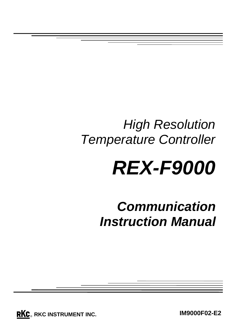## *High Resolution Temperature Controller*

# *REX-F9000*

*Communication Instruction Manual*

**RKC**. RKC INSTRUMENT INC.

**IM9000F02-E2**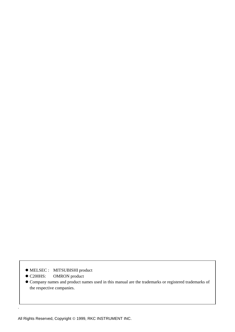- $\bullet$  MELSEC : MITSUBISHI product
- C200HS: OMRON product

.

z Company names and product names used in this manual are the trademarks or registered trademarks of the respective companies.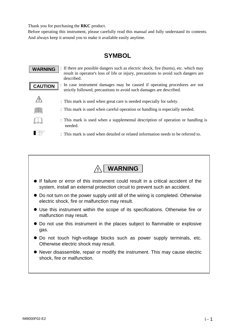Thank you for purchasing the **RKC** product.

Before operating this instrument, please carefully read this manual and fully understand its contents. And always keep it around you to make it available easily anytime.

## **SYMBOL**

: If there are possible dangers such as electric shock, fire (burns), etc. which may **WARNING** result in operator's loss of life or injury, precautions to avoid such dangers are described. : In case instrument damages may be caused if operating procedures are not **CAUTION** strictly followed, precautions to avoid such damages are described. **!** : This mark is used when great care is needed especially for safety. : This mark is used when careful operation or handling is especially needed. : This mark is used when a supplemental description of operation or handling is needed. **I** : This mark is used when detailed or related information needs to be referred to.



- If failure or error of this instrument could result in a critical accident of the system, install an external protection circuit to prevent such an accident.
- Do not turn on the power supply until all of the wiring is completed. Otherwise electric shock, fire or malfunction may result.
- Use this instrument within the scope of its specifications. Otherwise fire or malfunction may result.
- $\bullet$  Do not use this instrument in the places subject to flammable or explosive gas.
- Do not touch high-voltage blocks such as power supply terminals, etc. Otherwise electric shock may result.
- Never disassemble, repair or modify the instrument. This may cause electric shock, fire or malfunction.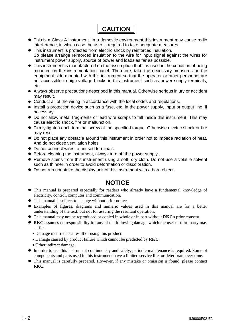

- This is a Class A instrument. In a domestic environment this instrument may cause radio interference, in which case the user is required to take adequate measures.
- This instrument is protected from electric shock by reinforced insulation. So please arrange reinforced insulation to the wire for input signal against the wires for
- instrument power supply, source of power and loads as far as possible.  $\bullet$  This instrument is manufactured on the assumption that it is used in the condition of being
- mounted on the instrumentation panel. Therefore, take the necessary measures on the equipment side mounted with this instrument so that the operator or other personnel are not accessible to high-voltage blocks in this instrument such as power supply terminals, etc.
- Always observe precautions described in this manual. Otherwise serious injury or accident may result.
- Conduct all of the wiring in accordance with the local codes and regulations.
- Install a protection device such as a fuse, etc. in the power supply, input or output line, if necessary.
- $\bullet$  Do not allow metal fragments or lead wire scraps to fall inside this instrument. This may cause electric shock, fire or malfunction.
- Firmly tighten each terminal screw at the specified torque. Otherwise electric shock or fire may result.
- $\bullet$  Do not place any obstacle around this instrument in order not to impede radiation of heat. And do not close ventilation holes.
- $\bullet$  Do not connect wires to unused terminals.
- Before cleaning the instrument, always turn off the power supply.
- Remove stains from this instrument using a soft, dry cloth. Do not use a volatile solvent such as thinner in order to avoid deformation or discoloration.
- Do not rub nor strike the display unit of this instrument with a hard object.

### **NOTICE**

- $\bullet$  This manual is prepared especially for readers who already have a fundamental knowledge of electricity, control, computer and communication.
- This manual is subject to change without prior notice.
- Examples of figures, diagrams and numeric values used in this manual are for a better understanding of the text, but not for assuring the resultant operation.
- This manual may not be reproduced or copied in whole or in part without **RKC**'s prior consent.
- **RKC** assumes no responsibility for any of the following damage which the user or third party may suffer.
	- Damage incurred as a result of using this product.
	- x Damage caused by product failure which cannot be predicted by **RKC**.
	- Other indirect damage.
- In order to use this instrument continuously and safely, periodic maintenance is required. Some of components and parts used in this instrument have a limited service life, or deteriorate over time.
- This manual is carefully prepared. However, if any mistake or omission is found, please contact **RKC**.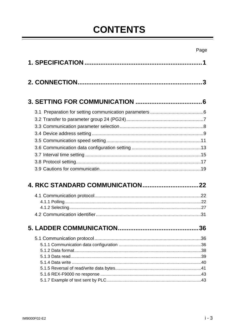## **CONTENTS**

IM9000F02-E2

|  | $i - 3$ |
|--|---------|

Page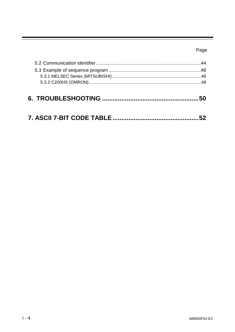## Page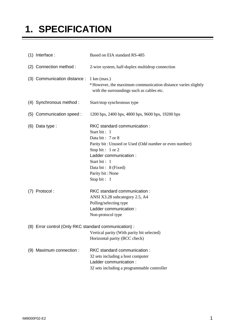## **1. SPECIFICATION**

| $(1)$ Interface:                                      | Based on EIA standard RS-485                                                                                                                                                                                                                         |
|-------------------------------------------------------|------------------------------------------------------------------------------------------------------------------------------------------------------------------------------------------------------------------------------------------------------|
| (2) Connection method :                               | 2-wire system, half-duplex multidrop connection                                                                                                                                                                                                      |
| (3) Communication distance :                          | $1 \text{ km} \text{ (max.)}$<br>*However, the maximum communication distance varies slightly<br>with the surroundings such as cables etc.                                                                                                           |
| (4) Synchronous method :                              | Start/stop synchronous type                                                                                                                                                                                                                          |
| (5) Communication speed :                             | 1200 bps, 2400 bps, 4800 bps, 9600 bps, 19200 bps                                                                                                                                                                                                    |
| $(6)$ Data type :                                     | RKC standard communication:<br>Start bit: 1<br>Data bit: 7 or 8<br>Parity bit: Unused or Used (Odd number or even number)<br>Stop bit: 1 or 2<br>Ladder communication :<br>Start bit: 1<br>Data bit: 8 (Fixed)<br>Parity bit: None<br>Stop bit : $1$ |
| (7) Protocol:                                         | RKC standard communication:<br>ANSI X3.28 subcategory 2.5, A4<br>Polling/selecting type<br>Ladder communication:<br>Non-protocol type                                                                                                                |
| (8) Error control (Only RKC standard communication) : | Vertical parity (With parity bit selected)<br>Horizontal parity (BCC check)                                                                                                                                                                          |
| (9) Maximum connection :                              | RKC standard communication:<br>32 sets including a host computer<br>Ladder communication :<br>32 sets including a programmable controller                                                                                                            |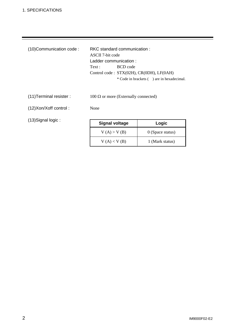| ASCII 7-bit code                                  |  |  |
|---------------------------------------------------|--|--|
| Ladder communication:                             |  |  |
| BCD code<br>Text:                                 |  |  |
| Control code : $STX(02H)$ , $CR(0DH)$ , $LF(0AH)$ |  |  |
| * Code in brackets () are in hexadecimal.         |  |  |

(11) Terminal resister :  $100 \Omega$  or more (Externally connected)

(12) Xon/Xoff control : None

(13) Signal logic :

| <b>Signal voltage</b> | Logic              |  |
|-----------------------|--------------------|--|
| V(A) > V(B)           | $0$ (Space status) |  |
| V(A) < V(B)           | 1 (Mark status)    |  |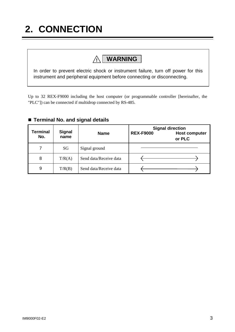## **2. CONNECTION**

## **! WARNING**

In order to prevent electric shock or instrument failure, turn off power for this instrument and peripheral equipment before connecting or disconnecting.

Up to 32 REX-F9000 including the host computer (or programmable controller [hereinafter, the "PLC"]) can be connected if multidrop connected by RS-485.

| <b>Terminal</b><br>No. | <b>Signal</b><br>name | <b>Name</b>            | <b>Signal direction</b><br><b>REX-F9000</b><br><b>Host computer</b><br>or PLC |
|------------------------|-----------------------|------------------------|-------------------------------------------------------------------------------|
|                        | SG                    | Signal ground          |                                                                               |
| 8                      | T/R(A)                | Send data/Receive data |                                                                               |
| 9                      | T/R(B)                | Send data/Receive data |                                                                               |

#### ■ Terminal No. and signal details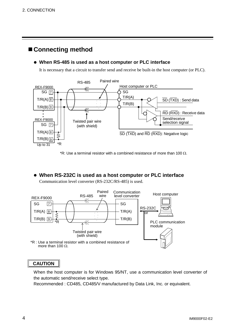## **Connecting method**

#### **• When RS-485 is used as a host computer or PLC interface**

It is necessary that a circuit to transfer send and receive be built-in the host computer (or PLC).



\*R: Use a terminal resistor with a combined resistance of more than 100  $\Omega$ .

### • When RS-232C is used as a host computer or PLC interface

Communication level converter (RS-232C/RS-485) is used.



more than 100  $\Omega$ .

### **CAUTION**

When the host computer is for Windows 95/NT, use a communication level converter of the automatic send/receive select type.

Recommended : CD485, CD485/V manufactured by Data Link, Inc. or equivalent.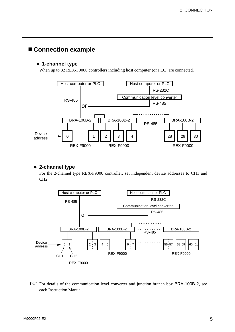## **Connection example**

#### $\bullet$  **1-channel type**

When up to 32 REX-F9000 controllers including host computer (or PLC) are connected.



#### $\bullet$  **2-channel type**

For the 2-channel type REX-F9000 controller, set independent device addresses to CH1 and CH2.



For details of the communication level converter and junction branch box BRA-100B-2, see each Instruction Manual.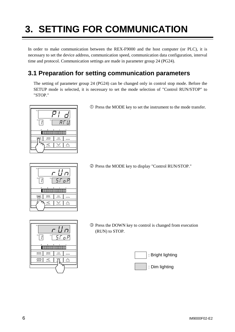## **3. SETTING FOR COMMUNICATION**

In order to make communication between the REX-F9000 and the host computer (or PLC), it is necessary to set the device address, communication speed, communication data configuration, interval time and protocol. Communication settings are made in parameter group 24 (PG24).

## **3.1 Preparation for setting communication parameters**

The setting of parameter group 24 (PG24) can be changed only in control stop mode. Before the SETUP mode is selected, it is necessary to set the mode selection of "Control RUN/STOP" to "STOP."



c Press the MODE key to set the instrument to the mode transfer.



d Press the MODE key to display "Control RUN/STOP."



e Press the DOWN key to control is changed from execution (RUN) to STOP.

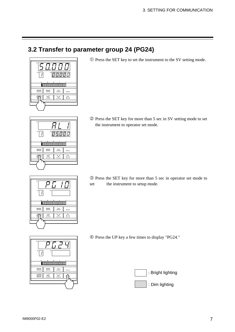## **3.2 Transfer to parameter group 24 (PG24)**



c Press the SET key to set the instrument to the SV setting mode.

d Press the SET key for more than 5 sec in SV setting mode to set the instrument to operator set mode.



SET

CH

 $\cdot$ 

PV

MODE MON<sub>I</sub> CH

SV

 $\overline{1\sqrt{5}}$ 

**TOOOOOOOOOOOOOOOOOO** 

 $\overline{\mathbb{X}}$ 

ח ח

 $\qquad \qquad$ 

 $\triangle$ 

e Press the SET key for more than 5 sec in operator set mode to set the instrument to setup mode.

f Press the UP key a few times to display "PG24."



PV CH SV00000000000000000  $MODE$   $MODI$   $MCDI$  $\equiv$  $\textcircled{\tiny{f}}$  $\leq$  $\leq$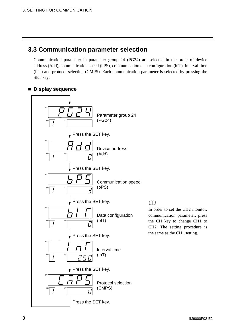## **3.3 Communication parameter selection**

Communication parameter in parameter group 24 (PG24) are selected in the order of device address (Add), communication speed (bPS), communication data configuration (bIT), interval time (InT) and protocol selection (CMPS). Each communication parameter is selected by pressing the SET key.

#### **Display sequence**



## $\Box$

In order to set the CH2 monitor, communication parameter, press the CH key to change CH1 to CH2. The setting procedure is the same as the CH1 setting.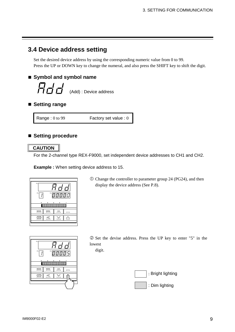## **3.4 Device address setting**

Set the desired device address by using the corresponding numeric value from 0 to 99. Press the UP or DOWN key to change the numeral, and also press the SHIFT key to shift the digit.

### **Symbol and symbol name**

```
\vec{H}\vec{\Omega} \vec{\Omega} (Add) : Device address
```
■ Setting range

Range : 0 to 99 Factory set value : 0

### ■ Setting procedure

#### **CAUTION**

For the 2-channel type REX-F9000, set independent device addresses to CH1 and CH2.

**Example :** When setting device address to 15.

| PV                               |      |    |  |
|----------------------------------|------|----|--|
| SV <sub>I</sub><br>CH<br>ם סים ס |      |    |  |
|                                  |      |    |  |
| MODE                             | MONI | CH |  |
|                                  |      |    |  |

 $\Omega$  Change the controller to parameter group 24 (PG24), and then display the device address (See P.8).



d Set the devise address. Press the UP key to enter "5" in the lowest

digit.

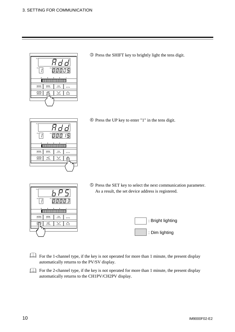| PV          |              |  |  |
|-------------|--------------|--|--|
| CH<br>SV    | פסס <u>ס</u> |  |  |
| MODE<br>MON |              |  |  |
|             |              |  |  |
|             |              |  |  |

e Press the SHIFT key to brightly light the tens digit.

 $\circledA$  Press the UP key to enter "1" in the tens digit.



SET

CH

PV

MODE MONI CH

SV

000000000000000000

g Press the SET key to select the next communication parameter. As a result, the set device address is registered.



- For the 1-channel type, if the key is not operated for more than 1 minute, the present display automatically returns to the PV/SV display.
- For the 2-channel type, if the key is not operated for more than 1 minute, the present display automatically returns to the CH1PV/CH2PV display.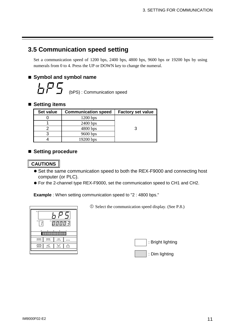## **3.5 Communication speed setting**

Set a communication speed of 1200 bps, 2400 bps, 4800 bps, 9600 bps or 19200 bps by using numerals from 0 to 4. Press the UP or DOWN key to change the numeral.

#### **Symbol and symbol name**

```
\Box \Box (bPS) : Communication speed
```
#### ■ Setting items

| Set value | <b>Communication speed</b> | <b>Factory set value</b> |
|-----------|----------------------------|--------------------------|
|           | $1200$ bps                 |                          |
|           | $2400$ bps                 |                          |
|           | $4800$ bps                 |                          |
|           | $9600$ bps                 |                          |
|           | $19200$ bps                |                          |

#### **Setting procedure**

#### **CAUTIONS**

- Set the same communication speed to both the REX-F9000 and connecting host computer (or PLC).
- For the 2-channel type REX-F9000, set the communication speed to CH1 and CH2.

**Example** : When setting communication speed to "2 : 4800 bps."

| PV          |               |       |  |
|-------------|---------------|-------|--|
| CH          | $\texttt{SV}$ | 00003 |  |
| ٠           |               |       |  |
|             |               |       |  |
| <b>MODE</b> | <b>MONI</b>   | CH    |  |
| SF          |               |       |  |
|             |               |       |  |

 $\odot$  Select the communication speed display. (See P.8.)

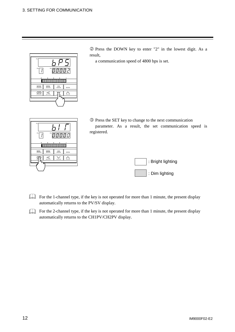| PV                        |
|---------------------------|
| CH<br>SV<br>2 ס ס ס פ     |
|                           |
| MODE<br><b>MONI</b><br>CH |
|                           |

d Press the DOWN key to enter "2" in the lowest digit. As a result,

a communication speed of 4800 bps is set.

- PV CH SV10000000000000000000  $\frac{\text{MOD}}{\text{MOD}}$   $\frac{\text{MON}}{\text{OD}}$   $\frac{\text{CH}}{\text{CD}}$  $\leq$  $\leq$   $\leq$  $\mathbf{f}$
- e Press the SET key to change to the next communication parameter. As a result, the set communication speed is registered.



- For the 1-channel type, if the key is not operated for more than 1 minute, the present display automatically returns to the PV/SV display.
- For the 2-channel type, if the key is not operated for more than 1 minute, the present display automatically returns to the CH1PV/CH2PV display.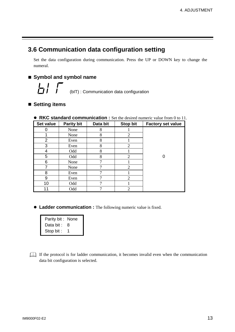## **3.6 Communication data configuration setting**

Set the data configuration during communication. Press the UP or DOWN key to change the numeral.

#### **Symbol and symbol name**

(bIT) : Communication data configuration

#### **Setting items**

| Set value      | <b>Parity bit</b> | Data bit | <b>Stop bit</b> | <b>Factory set value</b> |
|----------------|-------------------|----------|-----------------|--------------------------|
| 0              | None              | 8        |                 |                          |
|                | None              | 8        | 2               |                          |
| $\overline{2}$ | Even              | 8        |                 |                          |
| 3              | Even              | 8        | 2               |                          |
| 4              | Odd               | 8        |                 |                          |
| 5              | Odd               | 8        | 2               | 0                        |
| 6              | None              | 7        |                 |                          |
| 7              | None              | ┑        | $\overline{2}$  |                          |
| 8              | Even              | 7        |                 |                          |
| 9              | Even              | 7        | 2               |                          |
| 10             | Odd               | 7        |                 |                          |
| 11             | Odd               |          | $\overline{2}$  |                          |

#### **• RKC standard communication :** Set the desired numeric value from 0 to 11.

**• Ladder communication :** The following numeric value is fixed.

| Parity bit: None |   |
|------------------|---|
| Data bit :       | 8 |
| Stop bit :       | 1 |

If the protocol is for ladder communication, it becomes invalid even when the communication data bit configuration is selected.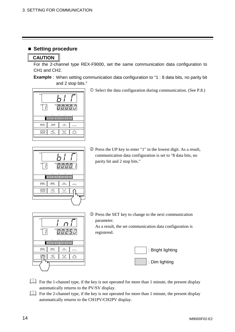#### **Setting procedure**

#### **CAUTION**

For the 2-channel type REX-F9000, set the same communication data configuration to CH1 and CH2.

**Example** : When setting communication data configuration to "1 : 8 data bits, no parity bit and 2 stop bits."



c Select the data configuration during communication. (See P.8.)



d Press the UP key to enter "1" in the lowest digit. As a result, communication data configuration is set to "8 data bits, no parity bit and 2 stop bits."



e Press the SET key to change to the next communication parameter. As a result, the set communication data configuration is registered.



- For the 1-channel type, if the key is not operated for more than 1 minute, the present display automatically returns to the PV/SV display.
- For the 2-channel type, if the key is not operated for more than 1 minute, the present display automatically returns to the CH1PV/CH2PV display.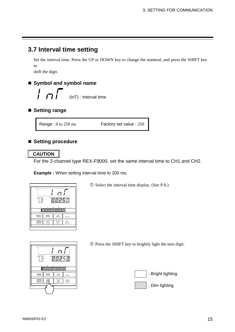## **3.7 Interval time setting**

Set the interval time. Press the UP or DOWN key to change the numeral, and press the SHIFT key to shift the digit.

### **Symbol and symbol name**

$$
\int \int \int
$$
 (InT) : Interval time

**Setting range**

Range : 0 to 250 ms Factory set value : 250

#### **Setting procedure**

**CAUTION**

For the 2-channel type REX-F9000, set the same interval time to CH1 and CH2.

**Example :** When setting interval time to 200 ms.



c Select the interval time display. (See P.8.)



d Press the SHIFT key to brightly light the tens digit.

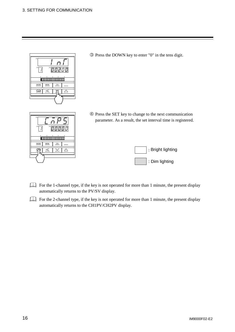

e Press the DOWN key to enter "0" in the tens digit.

- PV CH SVMODE MON<sub>I</sub> CH  $\leq$  $\mathbb{Z}$   $\mathbb{Z}$ SET
- f Press the SET key to change to the next communication parameter. As a result, the set interval time is registered.



- For the 1-channel type, if the key is not operated for more than 1 minute, the present display automatically returns to the PV/SV display.
- For the 2-channel type, if the key is not operated for more than 1 minute, the present display automatically returns to the CH1PV/CH2PV display.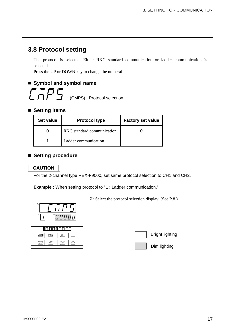## **3.8 Protocol setting**

The protocol is selected. Either RKC standard communication or ladder communication is selected.

Press the UP or DOWN key to change the numeral.

#### **Symbol and symbol name**



#### ■ Setting items

| Set value | <b>Protocol type</b>       | <b>Factory set value</b> |
|-----------|----------------------------|--------------------------|
|           | RKC standard communication |                          |
|           | Ladder communication       |                          |

#### ■ Setting procedure

#### **CAUTION**

For the 2-channel type REX-F9000, set same protocol selection to CH1 and CH2.

**Example :** When setting protocol to "1 : Ladder communication."



 $\odot$  Select the protocol selection display. (See P.8.)

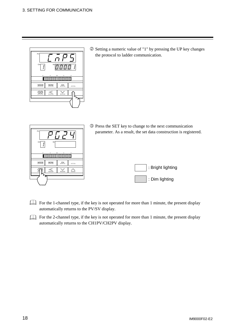

d Setting a numeric value of "1" by pressing the UP key changes the protocol to ladder communication.

| PV<br>CН<br>sv                      | <b>3</b> Press the SET key to change to the next communication<br>parameter. As a result, the set data construction is registered. |
|-------------------------------------|------------------------------------------------------------------------------------------------------------------------------------|
|                                     |                                                                                                                                    |
| <b>MODE</b><br><b>MON</b><br>ᄲ<br>P | : Bright lighting                                                                                                                  |
|                                     | : Dim lighting                                                                                                                     |

For the 1-channel type, if the key is not operated for more than 1 minute, the present display automatically returns to the PV/SV display.

For the 2-channel type, if the key is not operated for more than 1 minute, the present display automatically returns to the CH1PV/CH2PV display.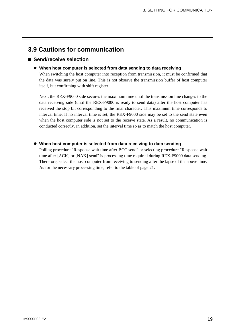## **3.9 Cautions for communication**

#### **Send/receive selection**

#### • When host computer is selected from data sending to data receiving

When switching the host computer into reception from transmission, it must be confirmed that the data was surely put on line. This is not observe the transmission buffer of host computer itself, but confirming with shift register.

Next, the REX-F9000 side secures the maximum time until the transmission line changes to the data receiving side (until the REX-F9000 is ready to send data) after the host computer has received the stop bit corresponding to the final character. This maximum time corresponds to interval time. If no interval time is set, the REX-F9000 side may be set to the send state even when the host computer side is not set to the receive state. As a result, no communication is conducted correctly. In addition, set the interval time so as to match the host computer.

#### • When host computer is selected from data receiving to data sending

Polling procedure "Response wait time after BCC send" or selecting procedure "Response wait time after [ACK] or [NAK] send" is processing time required during REX-F9000 data sending. Therefore, select the host computer from receiving to sending after the lapse of the above time. As for the necessary processing time, refer to the table of page 21.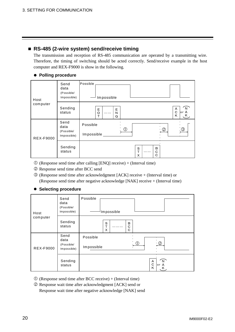### **RS-485 (2-wire system) send/receive timing**

The transmission and reception of RS-485 communication are operated by a transmitting wire. Therefore, the timing of switching should be acted correctly. Send/receive example in the host computer and REX-F9000 is show in the following.

#### **• Polling procedure**

| Host             | Send<br>data<br>(Possible/<br>Impossible) | Possible<br>Impossible                                                 |
|------------------|-------------------------------------------|------------------------------------------------------------------------|
| computer         | Sending<br>status                         | N<br>A<br>E<br>Е<br>C<br> or A<br>N<br>O<br><br>Κ<br>Κ<br>т<br>Q       |
| <b>REX-F9000</b> | Send<br>data<br>(Possible/<br>Impossible) | Possible<br>$\circledS$<br>$\bigcirc$<br>$\circ$ $\circ$<br>Impossible |
|                  | Sending<br>status                         | B<br>s<br>т<br>C<br><br>C<br>х                                         |

- $\odot$  (Response send time after calling [ENQ] receive) + (Interval time)
- d Response send time after BCC send
- e (Response send time after acknowledgment [ACK] receive + (Interval time) or (Response send time after negative acknowledge [NAK] receive + (Interval time)

#### **• Selecting procedure**

| Host             | Send<br>data<br>(Possible/<br>Impossible) | Possible<br>Impossible                                   |
|------------------|-------------------------------------------|----------------------------------------------------------|
| computer         | Sending<br>status                         | s<br>в<br>Т<br>С<br>.<br>X<br>С                          |
| <b>REX-F9000</b> | Send<br>data<br>(Possible/<br>Impossible) | Possible<br>$\circled{2}$<br>$\circled{1}$<br>Impossible |
|                  | Sending<br>status                         | $\mathsf{N}$<br>A<br>$\mathsf{C}$<br>or A<br>Κ<br>К      |

- $\Phi$  (Response send time after BCC receive) + (Interval time)
- d Response wait time after acknowledgment [ACK] send or Response wait time after negative acknowledge [NAK] send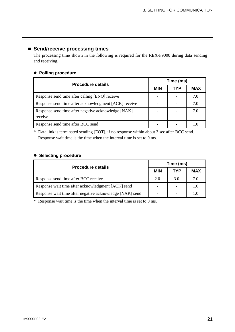#### **Send/receive processing times**

The processing time shown in the following is required for the REX-F9000 during data sending and receiving.

#### **• Polling procedure**

| <b>Procedure details</b>                                       |            | Time (ms) |            |  |  |
|----------------------------------------------------------------|------------|-----------|------------|--|--|
|                                                                | <b>MIN</b> | TYP       | <b>MAX</b> |  |  |
| Response send time after calling [ENQ] receive                 |            |           | 7.0        |  |  |
| Response send time after acknowledgment [ACK] receive          |            |           | 7.0        |  |  |
| Response send time after negative acknowledge [NAK]<br>receive |            |           | 7.0        |  |  |
| Response send time after BCC send                              |            |           |            |  |  |

\* Data link is terminated sending [EOT], if no response within about 3 sec after BCC send. Response wait time is the time when the interval time is set to 0 ms.

#### $\bullet$  Selecting procedure

| <b>Procedure details</b>                                 |            | Time (ms) |              |  |  |
|----------------------------------------------------------|------------|-----------|--------------|--|--|
|                                                          | <b>MIN</b> | TYP       | <b>MAX</b>   |  |  |
| Response send time after BCC receive                     | 2.0        | 3.0       | 7.0          |  |  |
| Response wait time after acknowledgment [ACK] send       |            |           | $\mathbf{L}$ |  |  |
| Response wait time after negative acknowledge [NAK] send |            |           |              |  |  |

\* Response wait time is the time when the interval time is set to 0 ms.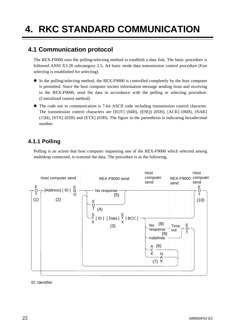## **4. RKC STANDARD COMMUNICATION**

## **4.1 Communication protocol**

The REX-F9000 uses the polling/selecting method to establish a data link. The basic procedure is followed ANSI X3.28 subcategory 2.5, A4 basic mode data transmission control procedure (Fast selecting is established for selecting).

- $\bullet$  In the polling/selecting method, the REX-F9000 is controlled completely by the host computer is permitted. Since the host computer invites information message sending from and receiving to the REX-F9000, send the data in accordance with the polling or selecting procedure. (Centralized control method)
- The code use in communication is 7-bit ASCII code including transmission control character. The transmission control characters are [EOT] (04H), [ENQ] (05H), [ACK] (06H), [NAK] (15H), [STX] (02H) and [ETX] (03H). The figure in the parenthesis is indicating hexadecimal number.

### **4.1.1 Polling**

Polling is an action that host computer requesting one of the REX-F9000 which selected among multidrop connected, to transmit the data. The procedure is as the following.



ID: Identifier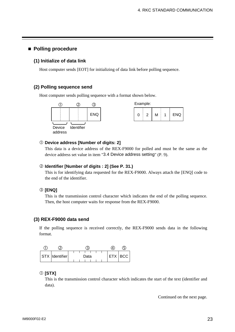#### **Polling procedure**

#### **(1) Initialize of data link**

Host computer sends [EOT] for initializing of data link before polling sequence.

#### **(2) Polling sequence send**

Host computer sends polling sequence with a format shown below.





#### c **Device address [Number of digits: 2]**

This data is a device address of the REX-F9000 for polled and must be the same as the device address set value in item "3.4 Device address setting" (P. 9).

#### d **Identifier [Number of digits : 2] (See P. 31.)**

This is for identifying data requested for the REX-F9000. Always attach the [ENQ] code to the end of the identifier.

#### e **[ENQ]**

This is the transmission control character which indicates the end of the polling sequence. Then, the host computer waits for response from the REX-F9000.

#### **(3) REX-F9000 data send**

If the polling sequence is received correctly, the REX-F9000 sends data in the following format.

| STX  Identifier | Data | ETX   BCC |
|-----------------|------|-----------|

#### c **[STX]**

This is the transmission control character which indicates the start of the text (identifier and data).

Continued on the next page.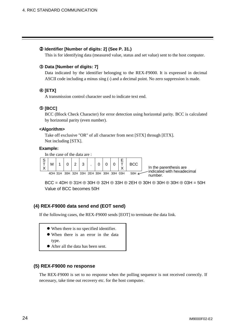#### d **Identifier [Number of digits: 2] (See P. 31.)**

This is for identifying data (measured value, status and set value) sent to the host computer.

#### e **Data [Number of digits: 7]**

Data indicated by the identifier belonging to the REX-F9000. It is expressed in decimal ASCII code including a minus sing (-) and a decimal point. No zero suppression is made.

#### f **[ETX]**

A transmission control character used to indicate text end.

#### g **[BCC]**

BCC (Block Check Character) for error detection using horizontal parity. BCC is calculated by horizontal parity (even number).

#### **<Algorithm>**

Take off exclusive "OR" of all character from next [STX] through [ETX]. Not including [STX].

#### **Example:**

In the case of the data are :



 $BCC = 4DH \oplus 31H \oplus 30H \oplus 32H \oplus 33H \oplus 2EH \oplus 30H \oplus 30H \oplus 30H \oplus 03H = 50H$ Value of BCC becomes 50H

#### **(4) REX-F9000 data send end (EOT send)**

If the following cases, the REX-F9000 sends [EOT] to terminate the data link.

- When there is no specified identifier.
- When there is an error in the data type.
- After all the data has been sent.

#### **(5) REX-F9000 no response**

The REX-F9000 is set to no response when the polling sequence is not received correctly. If necessary, take time out recovery etc. for the host computer.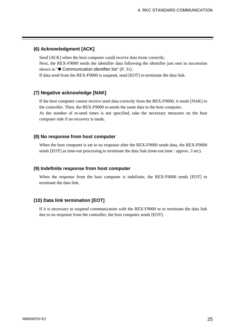#### **(6) Acknowledgment [ACK]**

Send [ACK] when the host computer could receive data items correctly. Next, the REX-F9000 sends the identifier data following the identifier just sent in succession shown in " $\blacksquare$  Communication identifier list" (P. 31). If data send from the REX-F9000 is suspend, send [EOT] to terminate the data link.

#### **(7) Negative acknowledge [NAK]**

If the host computer cannot receive send data correctly from the REX-F9000, it sends [NAK] to the controller. Then, the REX-F9000 re-sends the same data to the host computer. As the number of re-send times is not specified, take the necessary measures on the host computer side if no recovery is made.

#### **(8) No response from host computer**

When the host computer is set to no response after the REX-F9000 sends data, the REX-F9000 sends [EOT] as time-out processing to terminate the data link (time-out time : approx. 3 sec).

#### **(9) Indefinite response from host computer**

When the response from the host computer is indefinite, the REX-F9000 sends [EOT] to terminate the data link.

#### **(10) Data link termination [EOT]**

If it is necessary to suspend communication with the REX-F9000 or to terminate the data link due to no response from the controller, the host computer sends [EOT].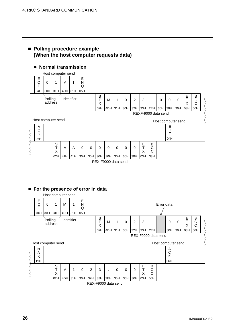#### **Polling procedure example (When the host computer requests data)**

#### $\bullet$  Normal transmission



#### **• For the presence of error in data**

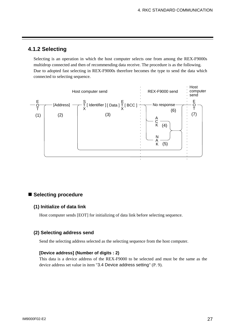#### **4.1.2 Selecting**

Selecting is an operation in which the host computer selects one from among the REX-F9000s multidrop connected and then of recommending data receive. The procedure is as the following. Due to adopted fast selecting in REX-F9000s therefore becomes the type to send the data which connected to selecting sequence.



#### **Selecting procedure**

#### **(1) Initialize of data link**

Host computer sends [EOT] for initializing of data link before selecting sequence.

#### **(2) Selecting address send**

Send the selecting address selected as the selecting sequence from the host computer.

#### **[Device address] (Number of digits : 2)**

This data is a device address of the REX-F9000 to be selected and must be the same as the device address set value in item "3.4 Device address setting" (P. 9).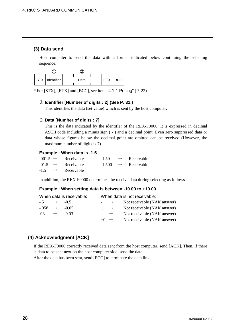#### **(3) Data send**

Host computer to send the data with a format indicated below continuing the selecting sequence.



\* For [STX], [ETX] and [BCC], see item "4.1.1 Polling" (P. 22).

#### c **Identifier [Number of digits : 2] (See P. 31.)**

This identifies the data (set value) which is sent by the host computer.

#### d **Data [Number of digits : 7]**

This is the data indicated by the identifier of the REX-F9000. It is expressed in decimal ASCII code including a minus sign ( - ) and a decimal point. Even zero suppressed data or data whose figures below the decimal point are omitted can be received (However, the maximum number of digits is 7).

#### **Example : When data is -1.5**

|  | $-001.5 \rightarrow$ Receivable |  | $-1.50 \rightarrow$ Receivable  |
|--|---------------------------------|--|---------------------------------|
|  | $-01.5 \rightarrow$ Receivable  |  | $-1.500 \rightarrow$ Receivable |
|  | $-1.5 \rightarrow$ Receivable   |  |                                 |

In addition, the REX-F9000 determines the receive data during selecting as follows.

#### **Example : When setting data is between -10.00 to +10.00**

|                            |               | When data is receivable: |                                        | When data is not receivable: |
|----------------------------|---------------|--------------------------|----------------------------------------|------------------------------|
| $-5 \rightarrow -0.5$      |               |                          | $\overline{\phantom{0}}$ $\rightarrow$ | Not receivable (NAK answer)  |
| $-0.058 \rightarrow -0.05$ |               |                          | $\cdot \quad \rightarrow$              | Not receivable (NAK answer)  |
| .03                        | $\rightarrow$ | 0.03                     | $\overline{\phantom{a}}$ $\rightarrow$ | Not receivable (NAK answer)  |
|                            |               |                          | $+() \rightarrow$                      | Not receivable (NAK answer)  |

#### **(4) Acknowledgment [ACK]**

If the REX-F9000 correctly received data sent from the host computer, send [ACK]. Then, if there is data to be sent next on the host computer side, send the data. After the data has been sent, send [EOT] to terminate the data link.

28 IM9000F02-E2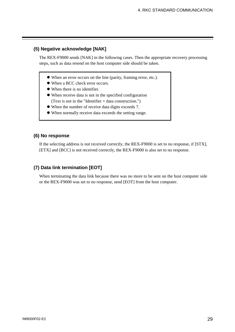#### **(5) Negative acknowledge [NAK]**

The REX-F9000 sends [NAK] in the following cases. Then the appropriate recovery processing steps, such as data resend on the host computer side should be taken.

- $\bullet$  When an error occurs on the line (parity, framing error, etc.).
- $\bullet$  When a BCC check error occurs.
- When there is no identifier.
- $\bullet$  When receive data is not in the specified configuration (Text is not in the "Identifier + data construction.")
- $\bullet$  When the number of receive data digits exceeds 7.
- $\bullet$  When normally receive data exceeds the setting range.

#### **(6) No response**

If the selecting address is not received correctly, the REX-F9000 is set to no response, if [STX], [ETX] and [BCC] is not received correctly, the REX-F9000 is also set to no response.

#### **(7) Data link termination [EOT]**

When terminating the data link because there was no more to be sent on the host computer side or the REX-F9000 was set to no response, send [EOT] from the host computer.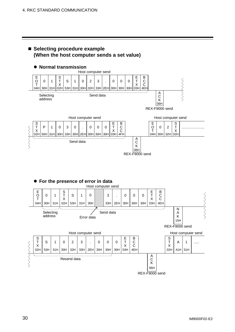

#### **• For the presence of error in data**



#### 30 IM9000F02-E2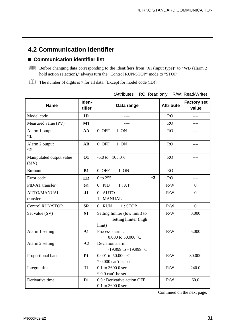## **4.2 Communication identifier**

#### **Communication identifier list**

Before changing data corresponding to the identifiers from "XI (input type)" to "WB (alarm 2 hold action selection)," always turn the "Control RUN/STOP" mode to "STOP."

The number of digits is 7 for all data. [Except for model code (ID)]

| <b>Name</b>                      | Iden-<br>tifier | Data range                                                        | <b>Attribute</b> | <b>Factory set</b><br>value |
|----------------------------------|-----------------|-------------------------------------------------------------------|------------------|-----------------------------|
| Model code                       | ID              |                                                                   | <b>RO</b>        | $---$                       |
| Measured value (PV)              | $M1$            |                                                                   | <b>RO</b>        |                             |
| Alarm 1 output<br>$*1$           | AA              | $0:$ OFF<br>1:ON                                                  | <b>RO</b>        | ----                        |
| Alarm 2 output<br>$*2$           | <b>AB</b>       | $0:$ OFF<br>1:ON                                                  | <b>RO</b>        |                             |
| Manipulated output value<br>(MV) | <b>O1</b>       | $-5.0$ to $+105.0%$                                               | <b>RO</b>        |                             |
| <b>Burnout</b>                   | B1              | 1:ON<br>$0:$ OFF                                                  | <b>RO</b>        | ----                        |
| Error code                       | ER              | $*3$<br>0 to 255                                                  | RO               |                             |
| PID/AT transfer                  | G1              | 1:AT<br>0:PID                                                     | R/W              | $\overline{0}$              |
| <b>AUTO/MANUAL</b><br>transfer   | J1              | $0:$ AUTO<br>1: MANUAL                                            | R/W              | $\overline{0}$              |
| <b>Control RUN/STOP</b>          | <b>SR</b>       | $0:$ RUN<br>1:STOP                                                | R/W              | $\overline{0}$              |
| Set value (SV)                   | S1              | Setting limiter (low limit) to<br>setting limiter (high<br>limit) | R/W              | 0.000                       |
| Alarm 1 setting                  | A1              | Process alarm:<br>0.000 to 50.000 °C                              | R/W              | 5.000                       |
| Alarm 2 setting                  | A2              | Deviation alarm:<br>-19.999 to +19.999 °C                         |                  |                             |
| Proportional band                | <b>P1</b>       | 0.001 to 50.000 °C<br>$*$ 0.000 can't be set.                     | R/W              | 30.000                      |
| Integral time                    | $\mathbf{I}$    | 0.1 to 3600.0 sec<br>* 0.0 can't be set.                          | R/W              | 240.0                       |
| Derivative time                  | D <sub>1</sub>  | 0.0 : Derivative action OFF<br>0.1 to 3600.0 sec                  | R/W              | 60.0                        |

(Attributes RO: Read only, R/W: Read/Write)

Continued on the next page.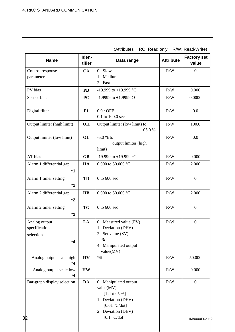| <b>Name</b>                                                | Iden-<br>tifier | Data range                                                                                                                                    | <b>Attribute</b> | <b>Factory set</b><br>value |
|------------------------------------------------------------|-----------------|-----------------------------------------------------------------------------------------------------------------------------------------------|------------------|-----------------------------|
| Control response<br>parameter                              | CA              | $0:$ Slow<br>1: Medium<br>2:Fast                                                                                                              | R/W              | $\boldsymbol{0}$            |
| PV bias                                                    | <b>PB</b>       | -19.999 to +19.999 °C                                                                                                                         | R/W              | 0.000                       |
| Sensor bias                                                | <b>PC</b>       | -1.9999 to +1.9999 $\Omega$                                                                                                                   | R/W              | 0.0000                      |
| Digital filter                                             | F1              | $0.0:$ OFF<br>0.1 to 100.0 sec                                                                                                                | R/W              | 0.0                         |
| Output limiter (high limit)                                | <b>OH</b>       | Output limiter (low limit) to<br>$+105.0%$                                                                                                    | R/W              | 100.0                       |
| Output limiter (low limit)<br><b>OL</b>                    |                 | $-5.0 %$ to<br>output limiter (high<br>limit)                                                                                                 | R/W              | 0.0                         |
| AT bias                                                    | <b>GB</b>       | -19.999 to +19.999 °C                                                                                                                         | R/W              | 0.000                       |
| Alarm 1 differential gap<br>$*1$                           | HA              | 0.000 to 50.000 $^{\circ}$ C                                                                                                                  | R/W              | 2.000                       |
| Alarm 1 timer setting<br><b>TD</b><br>$*1$                 |                 | $0$ to $600$ sec                                                                                                                              | R/W              | $\boldsymbol{0}$            |
| Alarm 2 differential gap<br>$\mathbf{H}\mathbf{B}$<br>$*2$ |                 | 0.000 to 50.000 $^{\circ}$ C                                                                                                                  | R/W              | 2.000                       |
| Alarm 2 timer setting<br>$*2$                              | <b>TG</b>       | $0$ to $600$ sec                                                                                                                              | R/W              | $\boldsymbol{0}$            |
| Analog output<br>specification<br>selection<br>$*4$        | LA              | 0 : Measured value (PV)<br>1 : Deviation (DEV)<br>2: Set value (SV)<br>$*5$<br>4 : Manipulated output<br>value(MV)                            | R/W              | $\boldsymbol{0}$            |
| Analog output scale high<br>*4                             | $H\mathbf{V}$   | $*6$                                                                                                                                          | R/W              | 50.000                      |
| Analog output scale low<br><b>HW</b><br>$*4$               |                 |                                                                                                                                               | R/W              | 0.000                       |
| Bar-graph display selection<br>32                          | DA              | 0 : Manipulated output<br>value(MV)<br>$[1 \text{ dot} : 5 \%]$<br>1 : Deviation (DEV)<br>[0.01 °C/dot]<br>2: Deviation (DEV)<br>[0.1 °C/dot] | R/W              | $\mathbf{0}$<br>IM9000F02-  |

(Attributes RO: Read only, R/W: Read/Write)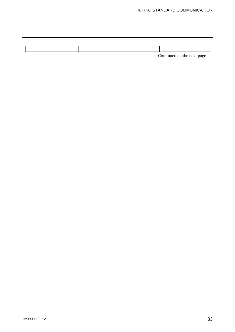#### 4. RKC STANDARD COMMUNICATION

|  |  | Continued on the next page. |
|--|--|-----------------------------|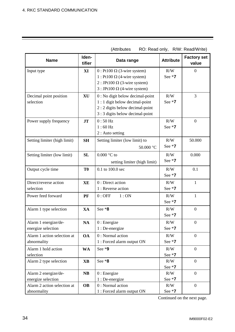|                                            |           | (Attributes                                                                                                       |                  | $\overline{N}$ . $\overline{N}$ eau UIIIV, $\overline{N}$ VV. $\overline{N}$ eau/VVIIIE) |
|--------------------------------------------|-----------|-------------------------------------------------------------------------------------------------------------------|------------------|------------------------------------------------------------------------------------------|
| Iden-<br><b>Name</b><br>tifier             |           | Data range                                                                                                        | <b>Attribute</b> | <b>Factory set</b><br>value                                                              |
| Input type                                 | XI        | $0:$ Pt100 $\Omega$ (3-wire system)<br>1 : Pt100 $\Omega$ (4-wire system)<br>$2:$ JPt100 $\Omega$ (3-wire system) | R/W<br>See *7    | $\boldsymbol{0}$                                                                         |
|                                            |           | $3:$ JPt100 $\Omega$ (4-wire system)                                                                              |                  |                                                                                          |
| Decimal point position                     | <b>XU</b> | 0 : No digit below decimal-point                                                                                  | R/W              | $\overline{3}$                                                                           |
| selection                                  |           | 1 : 1 digit below decimal-point<br>$2:2$ digits below decimal-point<br>3 : 3 digits below decimal-point           | See *7           |                                                                                          |
| Power supply frequency                     | <b>JT</b> | $0:50$ Hz                                                                                                         | R/W              | $\boldsymbol{0}$                                                                         |
|                                            |           | $1:60$ Hz<br>$2:$ Auto setting                                                                                    | See *7           |                                                                                          |
| Setting limiter (high limit)               | <b>SH</b> | Setting limiter (low limit) to                                                                                    | R/W              | 50.000                                                                                   |
|                                            |           | 50.000 °C                                                                                                         | See *7           |                                                                                          |
| Setting limiter (low limit)                | <b>SL</b> | $0.000$ °C to                                                                                                     | R/W              | 0.000                                                                                    |
|                                            |           | setting limiter (high limit)                                                                                      | See *7           |                                                                                          |
| Output cycle time<br>T <sub>0</sub>        |           | 0.1 to 100.0 sec                                                                                                  | R/W              | 0.1                                                                                      |
|                                            |           |                                                                                                                   | See *7           |                                                                                          |
| Direct/reverse action                      | XE        | 0 : Direct action                                                                                                 | R/W              | $\mathbf{1}$                                                                             |
| selection                                  |           | 1 : Reverse action                                                                                                | See *7           |                                                                                          |
| Power feed forward                         | PF        | $0:$ OFF<br>1:ON                                                                                                  | R/W<br>See *7    | $\mathbf{1}$                                                                             |
| Alarm 1 type selection                     | XA        | See *8<br>R/W                                                                                                     |                  | $\boldsymbol{0}$                                                                         |
|                                            |           |                                                                                                                   | See *7           |                                                                                          |
| Alarm 1 energize/de-<br>energize selection | <b>NA</b> | $0:$ Energize<br>1 : De-energize                                                                                  | R/W<br>See *7    | $\boldsymbol{0}$                                                                         |
| Alarm 1 action selection at                | <b>OA</b> | 0 : Normal action                                                                                                 | R/W              | $\boldsymbol{0}$                                                                         |
| abnormality                                |           | 1 : Forced alarm output ON                                                                                        | See *7           |                                                                                          |
| Alarm 1 hold action                        | <b>WA</b> | See *9                                                                                                            | R/W              | $\overline{0}$                                                                           |
| selection                                  |           |                                                                                                                   | See *7           |                                                                                          |
| Alarm 2 type selection                     | <b>XB</b> | See *8                                                                                                            | R/W              | $\boldsymbol{0}$                                                                         |
| Alarm 2 energize/de-                       | <b>NB</b> | $0:$ Energize                                                                                                     | See *7<br>R/W    | $\overline{0}$                                                                           |
| energize selection                         |           | 1 : De-energize                                                                                                   | See *7           |                                                                                          |
| Alarm 2 action selection at                | <b>OB</b> | 0 : Normal action                                                                                                 | R/W              | $\boldsymbol{0}$                                                                         |
| abnormality                                |           |                                                                                                                   | See *7           |                                                                                          |

(Attributes RO: Read only, R/W: Read/Write)

Continued on the next page.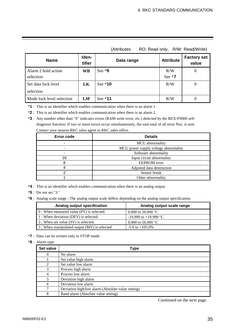|                                  | เภแแมนเบอ<br>$\sim$ . Road Olliy, TV VV. Road, VVIRC) |            |                  |                             |  |  |
|----------------------------------|-------------------------------------------------------|------------|------------------|-----------------------------|--|--|
| <b>Name</b>                      | Iden-<br>tifier                                       | Data range | <b>Attribute</b> | <b>Factory set</b><br>value |  |  |
| Alarm 2 hold action<br>selection | <b>WB</b>                                             | See $*9$   | R/W<br>See $*7$  | 0                           |  |  |
| Set data lock level<br>selection | LK                                                    | See *10    | R/W              | 0                           |  |  |
| Mode lock level selection        | LM                                                    | See $*11$  | R/W              | 0                           |  |  |

(Attributes RO: Read only, R/W: Read/Write)

\***1** : This is an identifier which enables communication when there is an alarm 1.

\***2** : This is an identifier which enables communication when there is an alarm 2.

\***3** : Any number other than "0" indicates errors (RAM write error, etc.) detected by the REX-F9000 selfdiagnosis function. If two or more errors occur simultaneously, the sum total of all error Nos. is sent. Contact your nearest RKC sales agent or RKC sales office.

| <b>Error code</b> | <b>Details</b>                       |  |  |
|-------------------|--------------------------------------|--|--|
|                   | MCU abnormality                      |  |  |
|                   | MCU power supply voltage abnormality |  |  |
|                   | Software abnormality                 |  |  |
| 16                | Input circuit abnormality            |  |  |
|                   | <b>EEPROM</b> error                  |  |  |
|                   | Adjusted data destruction            |  |  |
|                   | Sensor break                         |  |  |
|                   | Other abnormality                    |  |  |

\***4** : This is an identifier which enables communication when there is an analog output.

- \***5** : Do not set "3."
- \***6** : Analog scale range : The analog output scale differs depending on the analog output specification.

| Analog output specification                  | Analog output scale range    |
|----------------------------------------------|------------------------------|
| $0:$ When measured value (PV) is selected.   | 0.000 to 50.000 $^{\circ}$ C |
| 1: When deviation (DEV) is selected.         | $-19.999$ to $+19.999$ °C    |
| 2 : When set value (SV) is selected.         | 0.000 to 50.000 $^{\circ}$ C |
| 3: When manipulated output (MV) is selected. | $-5.0$ to $+105.0\%$         |

\***7** : Data can be written only in STOP mode.

#### \***8** : Alarm type

| Set value      | Type                                              |
|----------------|---------------------------------------------------|
| 0              | No alarm                                          |
|                | Set value high alarm                              |
| $\overline{2}$ | Set value low alarm                               |
| 3              | Process high alarm                                |
| 4              | Process low alarm                                 |
| 5              | Deviation high alarm                              |
| 6              | Deviation low alarm                               |
|                | Deviation high/low alarm (Absolute value setting) |
| 8              | Band alarm (Absolute value setting)               |

Continued on the next page.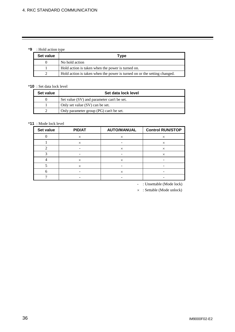#### \***9** : Hold action type

| Set value | Type                                                                     |
|-----------|--------------------------------------------------------------------------|
|           | No hold action                                                           |
|           | Hold action is taken when the power is turned on.                        |
|           | Hold action is taken when the power is turned on or the setting changed. |

#### \***10** : Set data lock level

| Set value | Set data lock level                        |
|-----------|--------------------------------------------|
|           | Set value (SV) and parameter can't be set. |
|           | Only set value (SV) can be set.            |
|           | Only parameter group (PG) can't be set.    |

#### \***11** : Mode lock level

| Set value | <b>PID/AT</b> | <b>AUTO/MANUAL</b> | <b>Control RUN/STOP</b> |
|-----------|---------------|--------------------|-------------------------|
|           | $\times$      | $\times$           | $\times$                |
|           | $\times$      |                    | $\times$                |
|           |               | $\times$           | $\times$                |
|           |               |                    | $\times$                |
|           | $\times$      | $\times$           |                         |
|           | $\times$      |                    |                         |
|           |               | $\times$           |                         |
|           |               |                    |                         |

- : Unsettable (Mode lock)

 $\times$  : Settable (Mode unlock)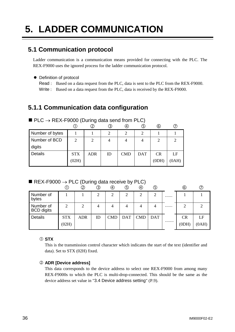## **5. LADDER COMMUNICATION**

## **5.1 Communication protocol**

Ladder communication is a communication means provided for connecting with the PLC. The REX-F9000 uses the ignored process for the ladder communication protocol.

#### • Definition of protocol

Read : Based on a data request from the PLC, data is sent to the PLC from the REX-F9000. Write : Based on a data request from the PLC, data is received by the REX-F9000.

## **5.1.1 Communication data configuration**

|                 |            | . .<br>2   | ③         | (4)           | 3)         | $\circledcirc$ |       |
|-----------------|------------|------------|-----------|---------------|------------|----------------|-------|
| Number of bytes |            |            | $\bigcap$ | $\mathcal{D}$ | ◠          |                |       |
| Number of BCD   | ↑          | ∍          |           |               | 4          | ∍              |       |
| digits          |            |            |           |               |            |                |       |
| <b>Details</b>  | <b>STX</b> | <b>ADR</b> | ID        | <b>CMD</b>    | <b>DAT</b> | CR             | LE    |
|                 | (02H)      |            |           |               |            | (0DH)          | (0AH) |

 $\blacksquare$  PLC  $\rightarrow$  REX-F9000 (During data send from PLC)

#### REX-F9000  $\rightarrow$  PLC (During data receive by PLC)

|                                |                     | $^\mathbb{O}$ | ③  | ④              | G              | ④          | ⑤          | ⊚               |             |
|--------------------------------|---------------------|---------------|----|----------------|----------------|------------|------------|-----------------|-------------|
| Number of<br>bytes             |                     |               | 2  | $\overline{2}$ | $\overline{2}$ | 2          | 2          |                 |             |
| Number of<br><b>BCD</b> digits | ◠                   | 2             | 4  |                |                |            | 4          | <br>റ           |             |
| Details                        | <b>STX</b><br>(02H) | <b>ADR</b>    | ID | <b>CMD</b>     | <b>DAT</b>     | <b>CMD</b> | <b>DAT</b> | <br>CR<br>(ODH) | LF<br>(0AH) |

#### c **STX**

This is the transmission control character which indicates the start of the text (identifier and data). Set to STX (02H) fixed.

#### d **ADR [Device address]**

This data corresponds to the device address to select one REX-F9000 from among many REX-F9000s to which the PLC is multi-drop-connected. This should be the same as the device address set value in "3.4 Device address setting" (P.9).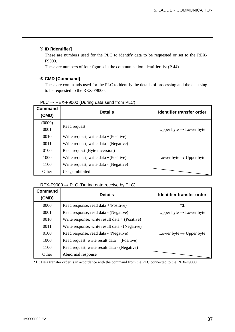#### e **ID [Identifier]**

These are numbers used for the PLC to identify data to be requested or set to the REX-F9000.

These are numbers of four figures in the communication identifier list (P.44).

#### f **CMD [Command]**

These are commands used for the PLC to identify the details of processing and the data sing to be requested to the REX-F9000.

| <b>Command</b><br>(CMD) | <b>Details</b>                           | Identifier transfer order           |
|-------------------------|------------------------------------------|-------------------------------------|
| (0000)<br>0001          | Read request                             | Upper byte $\rightarrow$ Lower byte |
| 0010                    | Write request, write $data + (Positive)$ |                                     |
| 0011                    | Write request, write data - (Negative)   |                                     |
| 0100                    | Read request (Byte inversion)            |                                     |
| 1000                    | Write request, write data $+(Positive)$  | Lower byte $\rightarrow$ Upper byte |
| 1100                    | Write request, write data - (Negative)   |                                     |
| Other                   | Usage inhibited                          |                                     |

#### $PLC \rightarrow REX-F9000$  (During data send from PLC)

#### $REX-F9000 \rightarrow PLC$  (During data receive by PLC)

| <b>Command</b><br>(CMD) | <b>Details</b>                                   | Identifier transfer order           |
|-------------------------|--------------------------------------------------|-------------------------------------|
| 0000                    | Read response, read data $+(Positive)$           | *1                                  |
| 0001                    | Read response, read data - (Negative)            | Upper byte $\rightarrow$ Lower byte |
| 0010                    | Write response, write result data $+$ (Positive) |                                     |
| 0011                    | Write response, write result data - (Negative)   |                                     |
| 0100                    | Read response, read data - (Negative)            | Lower byte $\rightarrow$ Upper byte |
| 1000                    | Read request, write result data $+$ (Positive)   |                                     |
| 1100                    | Read request, write result data - (Negative)     |                                     |
| Other                   | Abnormal response                                |                                     |

\***1** : Data transfer order is in accordance with the command from the PLC connected to the REX-F9000.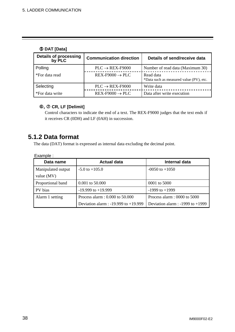#### g **DAT [Data]**

| <b>Details of processing</b><br>by PLC | <b>Communication direction</b> | Details of send/receive data                         |
|----------------------------------------|--------------------------------|------------------------------------------------------|
| Polling                                | $PLC \rightarrow REX-F9000$    | Number of read data (Maximum 30)                     |
| *For data read                         | $REX-F9000 \rightarrow PLC$    | Read data<br>*Data such as measured value (PV), etc. |
| Selecting                              | $PLC \rightarrow REX-F9000$    | Write data                                           |
| *For data write                        | $REX-F9000 \rightarrow PLC$    | Data after write execution                           |

#### h**,** i **CR, LF [Delimit]**

Control characters to indicate the end of a text. The REX-F9000 judges that the text ends if it receives CR (0DH) and LF (0AH) in succession.

## **5.1.2 Data format**

The data (DAT) format is expressed as internal data excluding the decimal point.

| Example :          |                                          |                                      |
|--------------------|------------------------------------------|--------------------------------------|
| Data name          | <b>Actual data</b>                       | Internal data                        |
| Manipulated output | $-5.0$ to $+105.0$                       | $-0050$ to $+1050$                   |
| value $(MV)$       |                                          |                                      |
| Proportional band  | $0.001$ to 50.000                        | 0001 to 5000                         |
| PV bias            | $-19.999$ to $+19.999$                   | $-1999$ to $+1999$                   |
| Alarm 1 setting    | Process alarm: 0.000 to 50.000           | Process alarm : $0000$ to $5000$     |
|                    | Deviation alarm : $-19.999$ to $+19.999$ | Deviation alarm : $-1999$ to $+1999$ |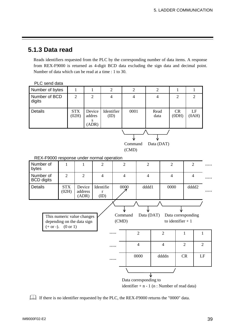## **5.1.3 Data read**

Reads identifiers requested from the PLC by the corresponding number of data items. A response from REX-F9000 is returned as 4-digit BCD data excluding the sign data and decimal point. Number of data which can be read at a time : 1 to 30.



identifier  $+ n - 1$  (n : Number of read data)

If there is no identifier requested by the PLC, the REX-F9000 returns the "0000" data.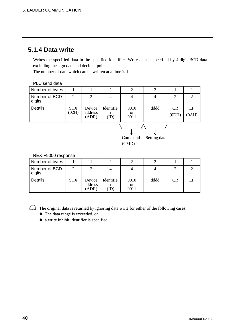## **5.1.4 Data write**

Writes the specified data in the specified identifier. Write data is specified by 4-digit BCD data excluding the sign data and decimal point.

The number of data which can be written at a time is 1.

| PLC send data                    |                     |                            |                        |                               |                |                    |             |  |
|----------------------------------|---------------------|----------------------------|------------------------|-------------------------------|----------------|--------------------|-------------|--|
| Number of bytes                  | 1                   |                            | 2                      | 2                             | $\overline{2}$ |                    |             |  |
| Number of BCD<br>digits          | $\overline{2}$      | 2                          | 4                      | $\overline{4}$                | $\overline{4}$ | $\overline{2}$     | 2           |  |
| Details                          | <b>STX</b><br>(02H) | Device<br>address<br>(ADR) | Identifie<br>r<br>(ID) | 0010<br><sub>or</sub><br>0011 | dddd           | <b>CR</b><br>(ODH) | LF<br>(AA0) |  |
| Setting data<br>Command<br>(CMD) |                     |                            |                        |                               |                |                    |             |  |

| REX-F9000 response      |            |                            |                  |                    |      |    |    |
|-------------------------|------------|----------------------------|------------------|--------------------|------|----|----|
| Number of bytes         |            |                            |                  |                    |      |    |    |
| Number of BCD<br>digits | 2          |                            |                  | 4                  |      |    |    |
| <b>Details</b>          | <b>STX</b> | Device<br>address<br>(ADR) | Identifie<br>ID) | 0010<br>or<br>0011 | dddd | CR | LF |

## The original data is returned by ignoring data write for either of the following cases.

- The data range is exceeded, or
- $\bullet$  a write inhibit identifier is specified.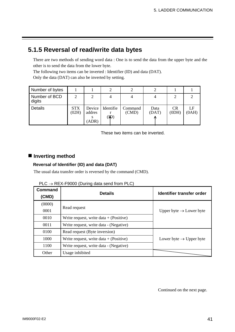## **5.1.5 Reversal of read/write data bytes**

There are two methods of sending word data : One is to send the data from the upper byte and the other is to send the data from the lower byte.

The following two items can be inverted : Identifier (ID) and data (DAT).

Only the data (DAT) can also be inverted by setting.

| Number of bytes         |                     |                           |                             |                  |               |             |             |
|-------------------------|---------------------|---------------------------|-----------------------------|------------------|---------------|-------------|-------------|
| Number of BCD<br>digits | $\mathfrak{D}$      |                           |                             |                  |               |             |             |
| Details                 | <b>STX</b><br>(02H) | Device<br>addres<br>(ADR) | Identifie<br>$(\mathbf{W})$ | Command<br>(CMD) | Data<br>(DAT) | CR<br>(ODH) | LF<br>(OAH) |

These two items can be inverted.

#### $\blacksquare$  Inverting method

#### **Reversal of Identifier (ID) and data (DAT)**

The usual data transfer order is reversed by the command (CMD).

| <b>Command</b><br>(CMD) | <b>Details</b>                           | Identifier transfer order           |
|-------------------------|------------------------------------------|-------------------------------------|
| (0000)                  |                                          |                                     |
| 0001                    | Read request                             | Upper byte $\rightarrow$ Lower byte |
| 0010                    | Write request, write $data + (Positive)$ |                                     |
| 0011                    | Write request, write data - (Negative)   |                                     |
| 0100                    | Read request (Byte inversion)            |                                     |
| 1000                    | Write request, write $data + (Positive)$ | Lower byte $\rightarrow$ Upper byte |
| 1100                    | Write request, write data - (Negative)   |                                     |
| Other                   | Usage inhibited                          |                                     |

| $PLC \rightarrow REX-F9000$ (During data send from PLC) |  |  |
|---------------------------------------------------------|--|--|
|                                                         |  |  |

Continued on the next page.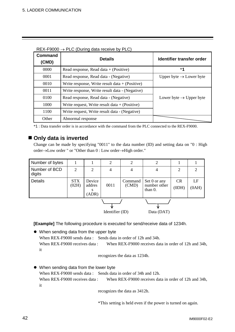| <b>Command</b><br>(CMD) | <b>Details</b>                                   | Identifier transfer order           |
|-------------------------|--------------------------------------------------|-------------------------------------|
| 0000                    | Read response, Read data $+$ (Positive)          | *1                                  |
| 0001                    | Read response, Read data - (Negative)            | Upper byte $\rightarrow$ Lower byte |
| 0010                    | Write response, Write result data $+$ (Positive) |                                     |
| 0011                    | Write response, Write result data - (Negative)   |                                     |
| 0100                    | Read response, Read data - (Negative)            | Lower byte $\rightarrow$ Upper byte |
| 1000                    | Write request, Write result data $+$ (Positive)  |                                     |
| 1100                    | Write request, Write result data - (Negative)    |                                     |
| Other                   | Abnormal response                                |                                     |

 $REX-F9000 \rightarrow PLC$  (During data receive by PLC)

\*1 : Data transfer order is in accordance with the command from the PLC connected to the REX-F9000.

#### ■ Only data is inverted

Change can be made by specifying "0011" to the data number (ID) and setting data on "0 : High order $\rightarrow$ Low order " or "Other than 0 : Low order $\rightarrow$ High order."

| Number of bytes         |                     |                                | 2               | 2                | $\overline{2}$                             |                |             |
|-------------------------|---------------------|--------------------------------|-----------------|------------------|--------------------------------------------|----------------|-------------|
| Number of BCD<br>digits | 2                   | 2                              | 4               | 4                | 4                                          | $\overline{2}$ | 2           |
| Details                 | <b>STX</b><br>(02H) | Device<br>addres<br>s<br>(ADR) | 0011            | Command<br>(CMD) | Set 0 or any<br>number other<br>than $0$ . | CR<br>(ODH)    | LF<br>(OAH) |
|                         |                     |                                | Identifier (ID) |                  | Data (DAT)                                 |                |             |

**[Example]** The following procedure is executed for send/receive data of 1234h.

• When sending data from the upper byte When REX-F9000 sends data: Sends data in order of 12h and 34h. When REX-F9000 receives data : When REX-F9000 receives data in order of 12h and 34h, it

recognizes the data as 1234h.

• When sending data from the lower byte When REX-F9000 sends data : Sends data in order of 34h and 12h. When REX-F9000 receives data : When REX-F9000 receives data in order of 12h and 34h, it

recognizes the data as 3412h.

\*This setting is held even if the power is turned on again.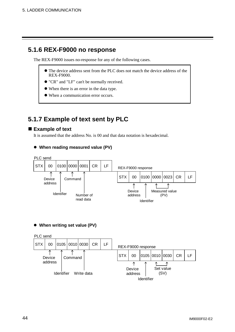## **5.1.6 REX-F9000 no response**

The REX-F9000 issues no-response for any of the following cases.

- The device address sent from the PLC does not match the device address of the REX-F9000.
- z "CR" and "LF" can't be normally received.
- When there is an error in the data type.
- When a communication error occurs.

## **5.1.7 Example of text sent by PLC**

#### ■ Example of text

It is assumed that the address No. is 00 and that data notation is hexadecimal.

#### ● When reading measured value (PV)



**• When writing set value (PV)** 

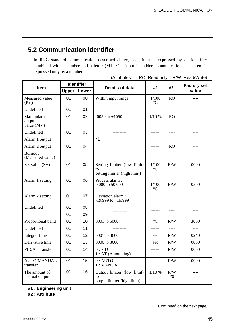## **5.2 Communication identifier**

In RKC standard communication described above, each item is expressed by an identifier combined with a number and a letter (M1, S1 ...) but in ladder communication, each item is expressed only by a number.

| (Attributes<br>R/W: Read/Write)<br>RO: Read only, |    |                    |                                                                   |                          |             |                             |  |
|---------------------------------------------------|----|--------------------|-------------------------------------------------------------------|--------------------------|-------------|-----------------------------|--|
|                                                   |    | <b>Identifier</b>  |                                                                   |                          |             | <b>Factory set</b><br>value |  |
| Item                                              |    | <b>Upper Lower</b> | Details of data                                                   | #1                       | #2          |                             |  |
| Measured value<br>(PV)                            | 01 | 00                 | Within input range                                                | 1/100<br>$\rm ^{\circ}C$ | <b>RO</b>   |                             |  |
| Undefined                                         | 01 | 01                 |                                                                   | ------                   | ----        | ----                        |  |
| Manipulated<br>output<br>value (MV)               | 01 | 02                 | $-0050$ to $+1050$                                                | 1/10%                    | <b>RO</b>   |                             |  |
| Undefined                                         | 01 | 03                 | ----------                                                        | ------                   | $---$       | ----                        |  |
| Alarm 1 output                                    |    |                    | $*1$                                                              |                          |             |                             |  |
| Alarm 2 output                                    | 01 | 04                 |                                                                   |                          | <b>RO</b>   |                             |  |
| <b>Burnout</b><br>(Measured value)                |    |                    |                                                                   |                          |             |                             |  |
| Set value (SV)                                    | 01 | 05                 | Setting limiter (low limit)<br>to<br>setting limiter (high limit) | 1/100<br>$\rm ^{\circ}C$ | R/W         | 0000                        |  |
| Alarm 1 setting                                   | 01 | 06                 | Process alarm:<br>0.000 to 50.000                                 | 1/100<br>$\rm ^{\circ}C$ | R/W         | 0500                        |  |
| Alarm 2 setting                                   | 01 | 07                 | Deviation alarm:<br>$-19.999$ to $+19.999$                        |                          |             |                             |  |
| Undefined                                         | 01 | 08                 |                                                                   |                          |             |                             |  |
|                                                   | 01 | 09                 |                                                                   |                          |             |                             |  |
| Proportional band                                 | 01 | 10                 | 0001 to 5000                                                      | $\rm ^{\circ}C$          | R/W         | 3000                        |  |
| Undefined                                         | 01 | 11                 |                                                                   | ------                   | ----        |                             |  |
| Integral time                                     | 01 | 12                 | 0001 to 3600                                                      | sec                      | R/W         | 0240                        |  |
| Derivative time                                   | 01 | 13                 | 0000 to 3600                                                      | sec                      | R/W         | 0060                        |  |
| PID/AT transfer                                   | 01 | 14                 | 0:PID<br>$1:AT$ (Autotuning)                                      | ------                   | R/W         | 0000                        |  |
| <b>AUTO/MANUAL</b><br>transfer                    | 01 | 15                 | $0:$ AUTO<br>1: MANUAL                                            | ------                   | R/W         | 0000                        |  |
| The amount of<br>manual output                    | 01 | 16                 | Output limiter (low limit)<br>to<br>output limiter (high limit)   | 1/10%                    | R/W<br>$*2$ | ----                        |  |

**#1 : Engineering unit**

**#2 : Attribute**

Continued on the next page.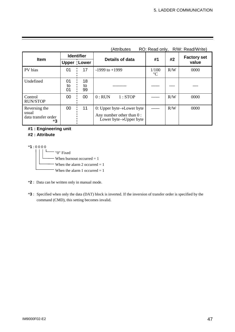|                                                     |                                                                  |                 | RO: Read only, R/W: Read/Write)<br>(Attributes                                                            |                          |     |                    |  |  |
|-----------------------------------------------------|------------------------------------------------------------------|-----------------|-----------------------------------------------------------------------------------------------------------|--------------------------|-----|--------------------|--|--|
|                                                     | <b>Identifier</b>                                                |                 |                                                                                                           |                          |     | <b>Factory set</b> |  |  |
|                                                     | #2<br>#1<br>Details of data<br><b>Item</b><br><b>Upper Lower</b> |                 | value                                                                                                     |                          |     |                    |  |  |
| PV bias                                             | 01                                                               | 17              | $-1999$ to $+1999$                                                                                        | 1/100<br>$\rm ^{\circ}C$ | R/W | 0000               |  |  |
| Undefined                                           | 01<br>to<br>01                                                   | 18<br>to<br>99  |                                                                                                           |                          |     |                    |  |  |
| Control<br><b>RUN/STOP</b>                          | 00                                                               | 00 <sup>1</sup> | $0:$ RUN<br>1:STOP                                                                                        |                          | R/W | 0000               |  |  |
| Reversing the<br>usual<br>data transfer order<br>*3 | 00                                                               | 11              | 0: Upper byte $\rightarrow$ Lower byte<br>Any number other than 0:<br>Lower byte $\rightarrow$ Upper byte |                          | R/W | 0000               |  |  |

#### **#1 : Engineering unit #2 : Attribute**

\***1** : 0 0 0 0

 "0" Fixed When burnout occurred  $= 1$ When the alarm 2 occurred  $= 1$ When the alarm 1 occurred  $= 1$ 

\***2** : Data can be written only in manual mode.

\***3** : Specified when only the data (DAT) block is inverted. If the inversion of transfer order is specified by the command (CMD), this setting becomes invalid.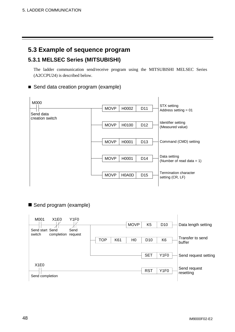## **5.3 Example of sequence program**

## **5.3.1 MELSEC Series (MITSUBISHI)**

The ladder communication send/receive program using the MITSUBISHI MELSEC Series (A2CCPU24) is described below.

#### ■ Send data creation program (example)



Send program (example)

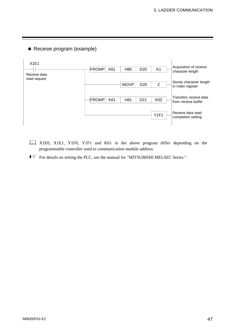

Receive program (example)

- X1E0, X1E1, Y1F0, Y1F1 and K61 in the above program differ depending on the programmable controller used to communication module address.
- For details on setting the PLC, see the manual for "MITSUBISHI MELSEC Series."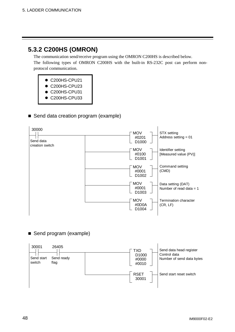## **5.3.2 C200HS (OMRON)**

The communication send/receive program using the OMRON C200HS is described below. The following types of OMRON C200HS with the built-in RS-232C post can perform nonprotocol communication.

- C200HS-CPU21
- C200HS-CPU23
- C200HS-CPU31
- C200HS-CPU33

#### Send data creation program (example)



#### Send program (example)

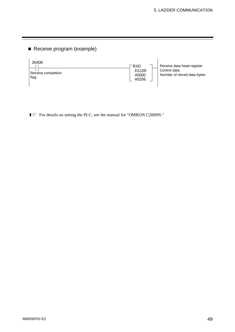Receive program (example)



For details on setting the PLC, see the manual for "OMRON C200HS."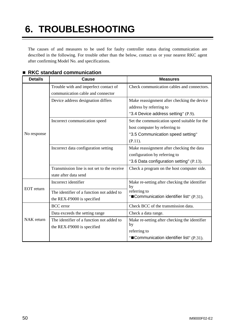## **6. TROUBLESHOOTING**

The causes of and measures to be used for faulty controller status during communication are described in the following. For trouble other than the below, contact us or your nearest RKC agent after confirming Model No. and specifications.

| <b>Details</b>    | <b>Cause</b>                                                               | <b>Measures</b>                                                                                                               |  |  |  |
|-------------------|----------------------------------------------------------------------------|-------------------------------------------------------------------------------------------------------------------------------|--|--|--|
|                   | Trouble with and imperfect contact of<br>communication cable and connector | Check communication cables and connectors.                                                                                    |  |  |  |
| No response       | Device address designation differs                                         | Make reassignment after checking the device<br>address by referring to<br>"3.4 Device address setting" (P.9).                 |  |  |  |
|                   | Incorrect communication speed                                              | Set the communication speed suitable for the<br>host computer by referring to<br>"3.5 Communication speed setting"<br>(P.11). |  |  |  |
|                   | Incorrect data configuration setting                                       | Make reassignment after checking the data<br>configuration by referring to<br>"3.6 Data configuration setting" (P.13).        |  |  |  |
|                   | Transmission line is not set to the receive<br>state after data send       | Check a program on the host computer side.                                                                                    |  |  |  |
| <b>EOT</b> return | Incorrect identifier                                                       | Make re-setting after checking the identifier<br>by                                                                           |  |  |  |
|                   | The identifier of a function not added to<br>the REX-F9000 is specified    | referring to<br>"Communication identifier list" (P.31).                                                                       |  |  |  |
|                   | <b>BCC</b> error                                                           | Check BCC of the transmission data.                                                                                           |  |  |  |
| NAK return        | Data exceeds the setting range                                             | Check a data range.                                                                                                           |  |  |  |
|                   | The identifier of a function not added to<br>the REX-F9000 is specified    | Make re-setting after checking the identifier<br>by<br>referring to                                                           |  |  |  |
|                   |                                                                            | "Communication identifier list" (P.31).                                                                                       |  |  |  |

#### ■ RKC standard communication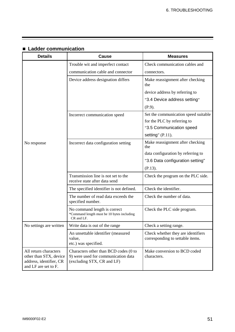| <b>Details</b>                                                                                     | <b>Cause</b>                                                                                               | <b>Measures</b>                                                        |  |  |  |
|----------------------------------------------------------------------------------------------------|------------------------------------------------------------------------------------------------------------|------------------------------------------------------------------------|--|--|--|
|                                                                                                    | Trouble wit and imperfect contact                                                                          | Check communication cables and                                         |  |  |  |
|                                                                                                    | communication cable and connector                                                                          | connectors.                                                            |  |  |  |
|                                                                                                    | Device address designation differs                                                                         | Make reassignment after checking<br>the                                |  |  |  |
|                                                                                                    |                                                                                                            | device address by referring to                                         |  |  |  |
|                                                                                                    |                                                                                                            | "3.4 Device address setting"                                           |  |  |  |
|                                                                                                    |                                                                                                            | (P.9).                                                                 |  |  |  |
|                                                                                                    | Incorrect communication speed                                                                              | Set the communication speed suitable                                   |  |  |  |
|                                                                                                    |                                                                                                            | for the PLC by referring to                                            |  |  |  |
|                                                                                                    |                                                                                                            | "3.5 Communication speed                                               |  |  |  |
|                                                                                                    |                                                                                                            | setting" $(P.11)$ .                                                    |  |  |  |
| No response                                                                                        | Incorrect data configuration setting                                                                       | Make reassignment after checking<br>the                                |  |  |  |
|                                                                                                    |                                                                                                            | data configuration by referring to                                     |  |  |  |
|                                                                                                    |                                                                                                            | "3.6 Data configuration setting"                                       |  |  |  |
|                                                                                                    |                                                                                                            | (P.13).                                                                |  |  |  |
|                                                                                                    | Transmission line is not set to the<br>receive state after data send                                       | Check the program on the PLC side.                                     |  |  |  |
|                                                                                                    | The specified identifier is not defined.                                                                   | Check the identifier.                                                  |  |  |  |
|                                                                                                    | The number of read data exceeds the<br>specified number.                                                   | Check the number of data.                                              |  |  |  |
|                                                                                                    | No command length is correct<br>*Command length must be 10 bytes including<br>CR and LF.                   | Check the PLC side program.                                            |  |  |  |
| No settings are written                                                                            | Write data is out of the range                                                                             | Check a setting range.                                                 |  |  |  |
|                                                                                                    | An unsettable identifier (measured<br>value,<br>etc.) was specified.                                       | Check whether they are identifiers<br>corresponding to settable items. |  |  |  |
| All return characters<br>other than STX, device<br>address, identifier, CR<br>and LF are set to F. | Characters other than BCD codes (0 to<br>9) were used for communication data<br>(excluding STX, CR and LF) | Make conversion to BCD coded<br>characters.                            |  |  |  |

## **Ladder communication**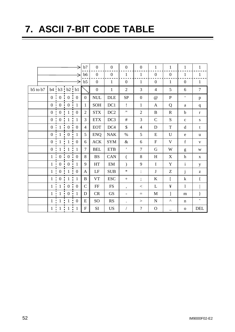## **7. ASCII 7-BIT CODE TABLE**

|          |                |                     |                                       | →                                               | b7               | $\boldsymbol{0}$ | $\overline{0}$         | $\boldsymbol{0}$             | $\boldsymbol{0}$         | $\mathbf{1}$     | $\mathbf{1}$              | $\mathbf{1}$              | $\mathbf{1}$                                          |
|----------|----------------|---------------------|---------------------------------------|-------------------------------------------------|------------------|------------------|------------------------|------------------------------|--------------------------|------------------|---------------------------|---------------------------|-------------------------------------------------------|
|          |                |                     |                                       |                                                 | b6               | $\boldsymbol{0}$ | $\boldsymbol{0}$       | $\mathbf{1}$                 | $\mathbf{1}$             | $\boldsymbol{0}$ | $\boldsymbol{0}$          | $\mathbf{1}$              | $\mathbf{1}$                                          |
|          |                |                     |                                       | →                                               | b5               | $\overline{0}$   | $\mathbf{1}$           | $\boldsymbol{0}$             | $\mathbf{1}$             | $\boldsymbol{0}$ | $\mathbf{1}$              | $\boldsymbol{0}$          | $\mathbf{1}$                                          |
| b5 to b7 |                | $b4$ $b3$ $b2$ $b1$ |                                       |                                                 |                  | $\boldsymbol{0}$ | $\mathbf{1}$           | $\overline{2}$               | 3                        | $\overline{4}$   | 5                         | 6                         | $\tau$                                                |
|          |                | $0 \t0 \t0 \t0$     |                                       |                                                 | $\mathbf{0}$     | <b>NUL</b>       | <b>DLE</b>             | SP                           | $\boldsymbol{0}$         | $\omega$         | ${\bf P}$                 | $\pmb{\zeta}$             | $\, {\bf p}$                                          |
|          | 0 <sub>1</sub> |                     | $0 \t 0 \t 1$                         |                                                 | $\mathbf{1}$     | <b>SOH</b>       | DC1                    | Ţ                            | $\mathbf{1}$             | $\mathbf{A}$     | Q                         | $\rm{a}$                  | $\mathbf q$                                           |
|          | $0$ !          | $\boldsymbol{0}$    | $\overline{1}$                        | $\frac{1}{2}$ 0                                 | $\overline{2}$   | <b>STX</b>       | DC2                    | $, \,$                       | $\overline{2}$           | $\bf{B}$         | $\mathbf R$               | $\mathbf b$               | $\bf r$                                               |
|          | $\overline{0}$ | $\overline{0}$      | $\mathbf{1}$                          | $\frac{1}{2}$ 1                                 | 3                | <b>ETX</b>       | DC3                    | $\#$                         | 3                        | $\mathbf C$      | ${\bf S}$                 | $\mathbf{C}$              | ${\bf S}$                                             |
|          |                | $0 \quad 1$         | $0 \quad 0$                           |                                                 | $\overline{4}$   | <b>EOT</b>       | DC4                    | \$                           | $\overline{4}$           | $\mathbf D$      | $\mathbf T$               | $\mathbf d$               | $\mathbf t$                                           |
|          | $\overline{0}$ | $\,$ 1 $\,$         | $\begin{array}{cc} 0 & 1 \end{array}$ |                                                 | 5                | <b>ENQ</b>       | <b>NAK</b>             | $\%$                         | 5                        | E                | U                         | ${\bf e}$                 | $\mathbf u$                                           |
|          | $0$ !          | $\mathbf{1}$        | $\mathbf{1}$                          | $\frac{1}{2}$ 0                                 | 6                | ACK              | <b>SYM</b>             | $\&$                         | 6                        | ${\bf F}$        | $\mathbf V$               | $\mathbf f$               | $\mathbf{V}$                                          |
|          | $\overline{0}$ | 1                   | $\mathbf{1}$                          | $\overline{1}$<br>$\mathcal{L}_{\mathcal{C}}$   | $\tau$           | <b>BEL</b>       | <b>ETB</b>             | $^\bullet$                   | $\overline{7}$           | $\mathbf G$      | W                         | g                         | W                                                     |
|          | $1$ i          | $\overline{0}$      |                                       | $0 \t0$                                         | 8                | <b>BS</b>        | CAN                    | $\left($                     | $8\,$                    | H                | $\boldsymbol{\mathrm{X}}$ | $\boldsymbol{\textbf{h}}$ | $\mathbf X$                                           |
|          | $1 -$          | $\mathbf{0}$        | $\cdot$ 0                             | $\begin{array}{c} \overline{1} & 1 \end{array}$ | 9                | HT               | EM                     | $\mathcal{E}$                | 9                        | $\bf I$          | Y                         | $\rm i$                   | $\mathbf y$                                           |
|          | $1$ :          | $\boldsymbol{0}$    | $\mathbf{1}$                          | $\boldsymbol{0}$                                | A                | LF               | <b>SUB</b>             | $\ast$                       | $\ddot{\cdot}$           | $\bf J$          | Z                         | $\mathbf{j}$              | $\mathbf{Z}% ^{T}=\mathbf{Z}^{T}\times\mathbf{Z}^{T}$ |
|          |                | $1 \cdot 0$         | $\, -1 \, -1$                         |                                                 | $\bf{B}$         | <b>VT</b>        | <b>ESC</b>             | $+$                          | $\vdots$                 | K                | $\overline{[}$            | $\mathbf k$               | $\{$                                                  |
|          | $1\frac{1}{2}$ |                     | $1 \cdot 0 \cdot 0$                   |                                                 | $\mathsf{C}$     | FF               | ${\rm FS}$             | $\overline{\phantom{a}}$     | $<\,$                    | L                | ¥                         | $\mathbf{1}$              |                                                       |
|          | 1 <sub>1</sub> | $\mathbf{1}$        | $\cdot$ 0 $\cdot$ 1                   |                                                 | D                | CR               | $\operatorname{GS}$    | $\qquad \qquad \blacksquare$ | $\equiv$                 | $\mathbf M$      | ]                         | ${\rm m}$                 | $\}$                                                  |
|          | $\mathbf{1}$   | 1                   | $\mathbf{1}$                          | $\boldsymbol{0}$<br>÷.                          | E                | SO               | $\mathbf{R}\mathbf{S}$ | $\ddot{\phantom{0}}$         | >                        | ${\bf N}$        | $\boldsymbol{\wedge}$     | $\mathbf n$               | $\widetilde{\phantom{m}}$                             |
|          | 1:             | $\mathbf{1}$        | $\mathbf{1}$                          | ÷<br>$\mathbf{1}$                               | $\boldsymbol{F}$ | SI               | <b>US</b>              | $\sqrt{2}$                   | $\overline{\mathcal{L}}$ | $\mathbf O$      | $\overline{\phantom{0}}$  | $\mathbf 0$               | <b>DEL</b>                                            |